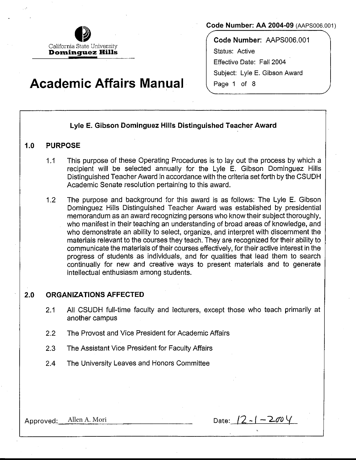

#### **Code Number: AA 2004-09** (AAPS006.001)

**Code Number:** AAPS006.001 Status: Active Effective Date: Fall 2004 Subject: Lyle E. Gibson Award Page 1 of 8

# **Academic Affairs Manual**

# **Lyle E. Gibson Dominguez Hills Distinguished Teacher Award**

## **1.0 PURPOSE**

- 1.1 This purpose of these Operating Procedures is to lay out the process by which a recipient will be selected annually for the Lyle **E.** Gibson Dominguez Hills Distinguished Teacher Award in accordance with the criteria set forth by the CSUDH Academic Senate resolution pertaining to this award.
- 1.2 The purpose and background for this award is as follows: The Lyle E. Gibson Dominguez Hills Distinguished Teacher Award was established by presidential memorandum as an award recognizing persons who know their subject thoroughly, who manifest in their teaching an understanding of broad areas of knowledge, and who demonstrate an ability to select, organize, and interpret with discernment the materials relevant to the courses they teach. They are recognized for their ability to communicate the materials of their courses effectively, for their active interest in the progress of students as individuals, and for qualities that lead them to search continually for new and creative ways to present materials and to generate intellectual enthusiasm among students.

#### **2.0 ORGANIZATIONS AFFECTED**

- 2.1 All CSUDH full-time faculty and lecturers, except those who teach primarily at another campus
- 2.2 The Provost and Vice President for Academic Affairs
- 2.3 The Assistant Vice President for Faculty Affairs
- 2.4 The University Leaves and Honors Committee

Approved: Allen A. Mori  $\qquad \qquad$  Date:  $/2 - 1 - 200 \vee$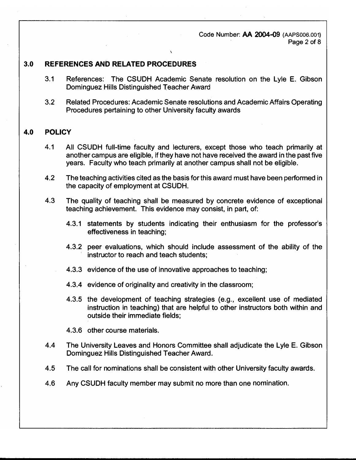Code Number: AA 2004-0**9** (AAPS006.001) Page 2 of 8

## **3.0 REFERENCES AND RELATED PROCEDURES**

3.1 References: The CSUDH Academic Senate resolution on the Lyle E. Gibson Dominguez Hills Distinguished Teacher Award

\

3.2 Related Procedures: Academic Senate resolutions and Academic Affairs Operating Procedures pertaining to other University faculty awards

## **4.0 POLICY**

- 4.1 All CSUDH full-time faculty and lecturers, except those who teach primarily at another campus are eligible, if they have not have received the award in the past five years. Faculty who teach primarily at another campus shall not be eligible.
- 4.2 The teaching activities cited as the basis for this award must have been performed in the capacity of employment at CSUDH.
- 4.3 The quality of teaching shall be measured by concrete evidence of exceptional teaching achievement. This evidence may consist, in part, of:
	- 4.3.1 statements by students indicating their enthusiasm for the professor's effectiveness in teaching;
	- 4.3.2 peer evaluations, which should include assessment of the ability of the instructor to reach and teach students;
	- 4.3.3 evidence of the use of innovative approaches to teaching;
	- 4.3.4 evidence of originality and creativity in the classroom;
	- 4.3.5 the development of teaching strategies (e.g., excellent use of mediated instruction in teaching) that are helpful to other instructors both within and outside their immediate fields;
	- 4.3.6 other course materials.
- 4.4 The University Leaves and Honors Committee shall adjudicate the Lyle E. Gibson Dominguez Hills Distinguished Teacher Award.
- 4.5 The call for nominations shall be consistent with other University faculty awards.
- 4,6 Any CSUDH faculty member may submit no more than one nomination.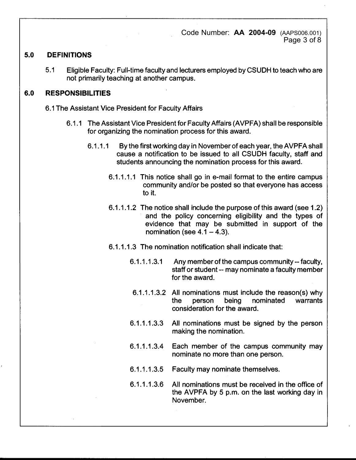Code Number: **AA 2004-09** (AAPS006.001) Page 3 of 8

# **5.0 DEFINITIONS**

5.1 Eligible Faculty: Full-time faculty and lecturers employed by CSUDH to teach who are not primarily teaching at another campus.

# **6.0 RESPONSIBILITIES**

- 6.1 The Assistant Vice President for Faculty Affairs
	- 6.1.1 The Assistant Vice President for Faculty Affairs (AVPFA) shall be responsible for organizing the nomination process for this award.
		- 6.1.1.1 By the first working day in November of each year, the AVPFA shall cause a notification to be issued to all CSUDH faculty, staff and students announcing the nomination process for this award.
			- 6; 1.1.1.1 This notice shall go in e-mail format to the entire campus community and/or be posted so that everyone has access to it.
			- 6.1.1.1.2 The notice shall include the purpose of this award (see 1.2) and the policy concerning eligibility and the types of evidence that may be submitted in support of the nomination (see  $4.1 - 4.3$ ).
			- 6.1.1.1.3 The nomination notification shall indicate that:
				- 6.1.1.1.3.1 Any member of the campus community-- faculty, staff or student -- may nominate a faculty member for the award.
				- 6.1.1.1.3.2 All nominations must include the reason(s) why the person being nominated warrants consideration for the award.
				- 6.1.1.1.3.3 All nominations must be signed by the person making the nomination.
				- 6.1.1.1.3.4 Each member of the campus community may nominate no more than one person.
				- 6.1.1.1.3.5 Faculty may nominate themselves.
				- 6.1.1.1.3.6 All nominations must be received in the office of the AVPFA by 5 p.m. on the last working day in November.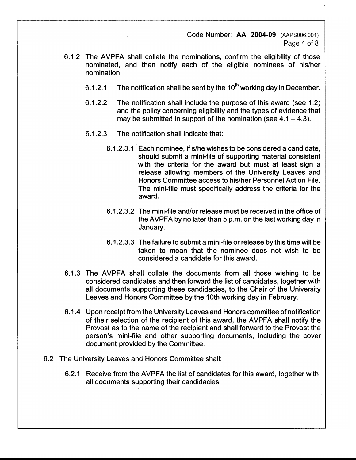Code Number: **AA 2004-09** (AAPS006.001) Page 4 of 8

- 6.1.2 The AVPFA shall collate the nominations, confirm the eligibility of those nominated, and then notify each of the eligible nominees of his/her nomination.
	- 6.1.2.1 The notification shall be sent by the 10**th** working day in December.
	- 6.1.2.2 The notification shall include the purpose of this award (see 1.2) and the policy concerning eligibility and the types of evidence that may be submitted in support of the nomination (see  $4.1 - 4.3$ ).
	- 6.1.2.3 The notification shall indicate that:
		- 6.1.2.3.1 Each nominee, if s/he wishes to be considered a candidate, should submit a mini-file of supporting material consistent with the criteria for the award but must at least sign a release allowing members of the University Leaves and Honors Committee access to his/her Personnel Action File. The mini-file must specifically address the criteria for the award.
		- 6.1.2.3.2 The mini-file and/or release must be received in the office of the AVPFA by no later than 5 p.m. on the last working day in January.
		- 6.1.2.3.3 The failure to submit a mini-file or release by this time will be taken to mean that the nominee does not wish to be considered a candidate for this award.
- 6.1.3 The AVPFA shall collate the documents from all those wishing to be considered candidates and then forward the list of candidates, together with all documents supporting these candidacies, to the Chair of the University Leaves and Honors Committee by the 10th working day in February.
- 6.1.4 Upon receipt from the University Leaves and Honors committee of notification of their selection of the recipient of this award, the AVPFA shall notify the Provost as to the name of the recipient and shall forward to the Provost the person's mini-file and other supporting documents, including the cover document provided by the Committee.
- 6.2 The University Leaves and Honors Committee shall:
	- 6.2.1 Receive from the AVPFA the list of candidates for this award, together with all documents supporting their candidacies.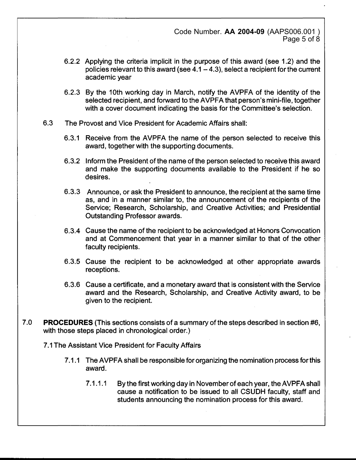Code Number. **AA 2004-09** (AAPS006.001 ) Page 5 of 8

- 6.2.2 Applying the criteria implicit in the purpose of this award (see 1.2) and the policies relevant to this award (see  $4.1 - 4.3$ ), select a recipient for the current academic year
- 6.2.3 By the 10th working day in March, notify the AVPFA of the identity of the selected recipient, and forward to the AVPFA that person's mini-file, together with a cover document indicating the basis for the Committee's selection.
- 6.3 The Provost and Vice President for Academic Affairs shall:
	- 6.3.1 Receive from the AVPFA the name of the person selected to receive this award, together with the supporting documents.
	- 6.3.2 . Inform the President of the name of the person selected to receive this award and make the supporting documents available to the President if he so desires.
	- 6.3.3 Announce, or ask the President to announce, the recipient at the same time as, and in a manner similar to, the announcement of the recipients of the Service; Research, Scholarship, and Creative Activities; and Presidential Outstanding Professor awards.
	- 6.3.4 Cause the name of the recipient to be acknowledged at Honors Convocation and at Commencement that year in a manner similar to that of the other faculty recipients.
	- 6.3.5 Cause the recipient to be acknowledged at other appropriate awards receptions.
	- 6.3.6 Cause a certificate, and a monetary award that is consistent with the Service award and the Research, Scholarship, and Creative Activity award, to be given to the recipient.
- 7.0 PROCEDURES (This sections consists of a summary of the steps described in section #6, with those steps placed in chronological order.)

7 .1 The Assistant Vice President for Faculty Affairs

- 7.1.1 The AVPFA shall be responsible for organizing the nomination process for this award.
	- 7.1.1.1 By the first working day in November of each year, the AVPFA shall cause a notification to be issued to all CSUDH faculty, staff and students announcing the nomination process for this award.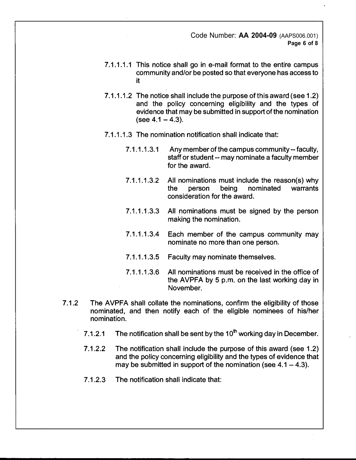Code Number: **AA 2004-09** (AAPS006.001) **Page 6 of 8** 

- 7.1.1.1.1 This notice shall go in e-mail format to the entire campus community and/or be posted so that everyone has access to it
- 7.1.1.1.2 The notice shall include the purpose of this award (see 1.2) and the policy concerning eligibility and the types of evidence that may be submitted in support of the nomination  $(see 4.1 - 4.3).$
- 7.1.1.1.3 The nomination notification shall indicate that:
	- 7.1.1.1.3.1 Any member of the campus community--faculty, staff or student -- may nominate a faculty member for the award.
	- 7.1.1.1.3.2 All nominations must include the reason(s) why<br>the person being nominated warrants the person being nominated consideration for the award.
	- 7 .1.1.1.3.3 All nominations must be signed by the person making the nomination.
	- 7.1.1.1.3.4 Each member of the campus community may nominate no more than one person.
	- 7.1.1.1.3.5 Faculty may nominate themselves.
	- 7.1.1.1.3.6 All nominations must be received in the office of the AVPFA by 5 p.m. on the last working day in November.
- 7.1.2 The AVPFA shall collate the nominations, confirm the eligibility of those nominated, and then notify each of the eligible nominees of his/her nomination.
	- 7.1.2.1 The notification shall be sent by the  $10<sup>th</sup>$  working day in December.
	- 7.1.2.2 The notification shall include the purpose of this award (see 1.2) and the policy concerning eligibility and the types of evidence that may be submitted in support of the nomination (see  $4.1 - 4.3$ ).
	- 7 .1.2.3 The notification shall indicate that: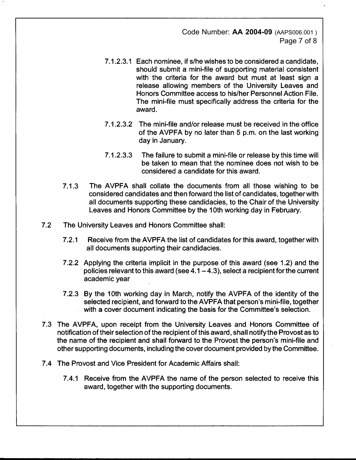Code Number: **AA 2004-09** (AAPS006.001 ) Page 7 of 8

- 7.1.2.3.1 Each nominee, ifs/he wishes to be considered a candidate, should submit a mini-file of supporting material consistent with the criteria for the award but must at least sign a release allowing members of the University Leaves and Honors Committee access to his/her Personnel Action File. The mini-file must specifically address the criteria for the award.
- 7.1.2.3.2 The mini-file and/or release must be received in the office of the AVPFA by no later than 5 p.m. on the last working day in January.
- 7.1.2.3.3 The failure to submit a mini-file or release by this time will be taken to mean that the nominee does not wish to be considered a candidate for this award.
- 7.1.3 The AVPFA shall collate the documents from all those wishing to be considered candidates and then forward the list of candidates, together with all documents supporting these candidacies, to the Chair of the University Leaves and Honors Committee by the 10th working day in February.
- 7.2 The University Leaves and Honors Committee shall:
	- 7.2.1 Receive from the AVPFA the list of candidates for this award, together with all documents supporting their candidacies.
	- 7.2.2 Applying the criteria implicit in the purpose of this award (see 1.2) and the policies relevant to this award (see  $4.1 - 4.3$ ), select a recipient for the current academic year
	- 7.2.3 By the 10th working day in March, notify the AVPFA of the identity of the selected recipient, and forward to the AVPFA that person's mini-file, together with a cover document indicating the basis for the Committee's selection.
- 7.3 The AVPFA, upon receipt from the University Leaves and Honors Committee of notification of their selection of the recipient of this award, shall notify the Provost as to the name of the recipient and shall forward to the Provost the person's mini-file and other supporting documents, including the cover document provided by the Committee.
- 7 .4 The Provost and Vice President for Academic Affairs shall:
	- 7.4.1 Receive from the AVPFA the name of the person selected to receive this award, together with the supporting documents.